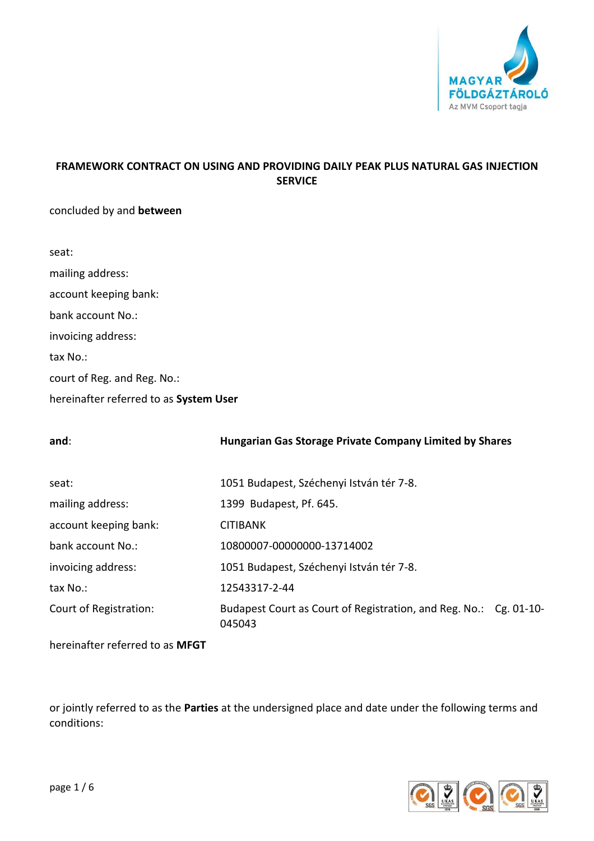

# **FRAMEWORK CONTRACT ON USING AND PROVIDING DAILY PEAK PLUS NATURAL GAS INJECTION SERVICE**

# concluded by and **between**

| seat:                                  |
|----------------------------------------|
| mailing address:                       |
| account keeping bank:                  |
| bank account No.:                      |
| invoicing address:                     |
| tax No.:                               |
| court of Reg. and Reg. No.:            |
| hereinafter referred to as System User |

| and:                   | <b>Hungarian Gas Storage Private Company Limited by Shares</b>              |  |
|------------------------|-----------------------------------------------------------------------------|--|
| seat:                  | 1051 Budapest, Széchenyi István tér 7-8.                                    |  |
| mailing address:       | 1399 Budapest, Pf. 645.                                                     |  |
| account keeping bank:  | <b>CITIBANK</b>                                                             |  |
| bank account No.:      | 10800007-00000000-13714002                                                  |  |
| invoicing address:     | 1051 Budapest, Széchenyi István tér 7-8.                                    |  |
| tax No.:               | 12543317-2-44                                                               |  |
| Court of Registration: | Budapest Court as Court of Registration, and Reg. No.: Cg. 01-10-<br>045043 |  |

hereinafter referred to as **MFGT**

or jointly referred to as the **Parties** at the undersigned place and date under the following terms and conditions:

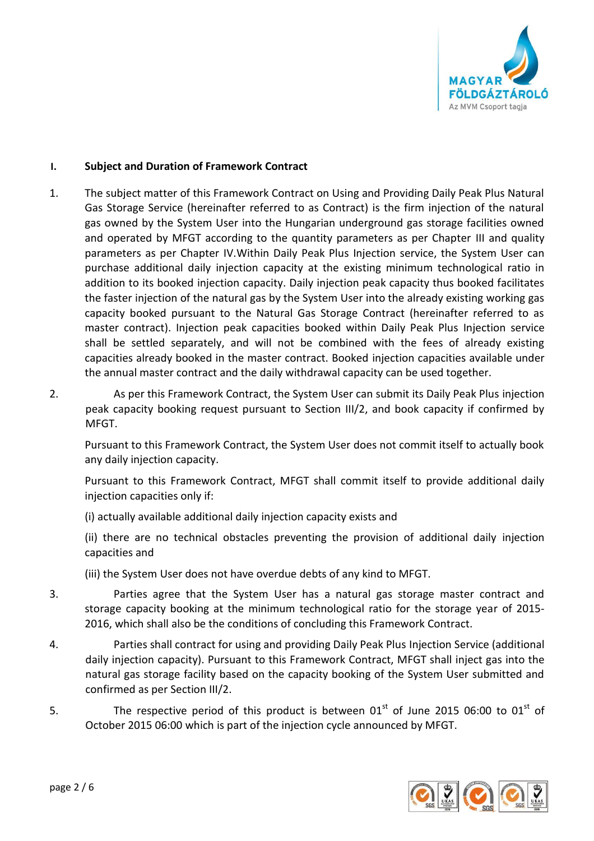

# **I. Subject and Duration of Framework Contract**

- 1. The subject matter of this Framework Contract on Using and Providing Daily Peak Plus Natural Gas Storage Service (hereinafter referred to as Contract) is the firm injection of the natural gas owned by the System User into the Hungarian underground gas storage facilities owned and operated by MFGT according to the quantity parameters as per Chapter III and quality parameters as per Chapter IV.Within Daily Peak Plus Injection service, the System User can purchase additional daily injection capacity at the existing minimum technological ratio in addition to its booked injection capacity. Daily injection peak capacity thus booked facilitates the faster injection of the natural gas by the System User into the already existing working gas capacity booked pursuant to the Natural Gas Storage Contract (hereinafter referred to as master contract). Injection peak capacities booked within Daily Peak Plus Injection service shall be settled separately, and will not be combined with the fees of already existing capacities already booked in the master contract. Booked injection capacities available under the annual master contract and the daily withdrawal capacity can be used together.
- 2. As per this Framework Contract, the System User can submit its Daily Peak Plus injection peak capacity booking request pursuant to Section III/2, and book capacity if confirmed by MFGT.

Pursuant to this Framework Contract, the System User does not commit itself to actually book any daily injection capacity.

Pursuant to this Framework Contract, MFGT shall commit itself to provide additional daily injection capacities only if:

(i) actually available additional daily injection capacity exists and

(ii) there are no technical obstacles preventing the provision of additional daily injection capacities and

(iii) the System User does not have overdue debts of any kind to MFGT.

- 3. Parties agree that the System User has a natural gas storage master contract and storage capacity booking at the minimum technological ratio for the storage year of 2015- 2016, which shall also be the conditions of concluding this Framework Contract.
- 4. Parties shall contract for using and providing Daily Peak Plus Injection Service (additional daily injection capacity). Pursuant to this Framework Contract, MFGT shall inject gas into the natural gas storage facility based on the capacity booking of the System User submitted and confirmed as per Section III/2.
- 5. The respective period of this product is between  $01<sup>st</sup>$  of June 2015 06:00 to  $01<sup>st</sup>$  of October 2015 06:00 which is part of the injection cycle announced by MFGT.

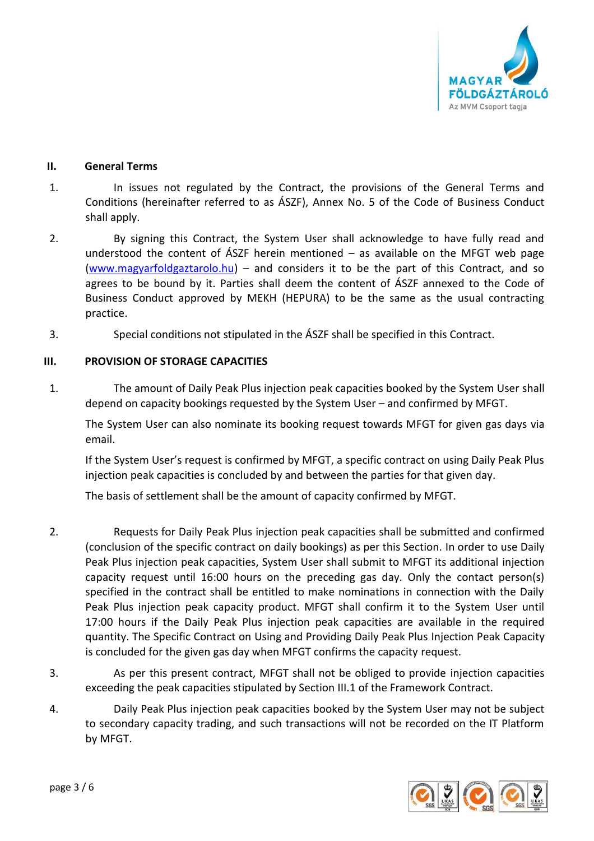

## **II. General Terms**

- 1. In issues not regulated by the Contract, the provisions of the General Terms and Conditions (hereinafter referred to as ÁSZF), Annex No. 5 of the Code of Business Conduct shall apply.
- 2. By signing this Contract, the System User shall acknowledge to have fully read and understood the content of  $\angle$ ASZF herein mentioned – as available on the MFGT web page [\(www.magyarfoldgaztarolo.hu\)](http://www.eon-foldgaz-storage.com/) – and considers it to be the part of this Contract, and so agrees to be bound by it. Parties shall deem the content of ÁSZF annexed to the Code of Business Conduct approved by MEKH (HEPURA) to be the same as the usual contracting practice.
- 3. Special conditions not stipulated in the ÁSZF shall be specified in this Contract.

# **III. PROVISION OF STORAGE CAPACITIES**

1. The amount of Daily Peak Plus injection peak capacities booked by the System User shall depend on capacity bookings requested by the System User – and confirmed by MFGT.

The System User can also nominate its booking request towards MFGT for given gas days via email.

If the System User's request is confirmed by MFGT, a specific contract on using Daily Peak Plus injection peak capacities is concluded by and between the parties for that given day.

The basis of settlement shall be the amount of capacity confirmed by MFGT.

- 2. Requests for Daily Peak Plus injection peak capacities shall be submitted and confirmed (conclusion of the specific contract on daily bookings) as per this Section. In order to use Daily Peak Plus injection peak capacities, System User shall submit to MFGT its additional injection capacity request until 16:00 hours on the preceding gas day. Only the contact person(s) specified in the contract shall be entitled to make nominations in connection with the Daily Peak Plus injection peak capacity product. MFGT shall confirm it to the System User until 17:00 hours if the Daily Peak Plus injection peak capacities are available in the required quantity. The Specific Contract on Using and Providing Daily Peak Plus Injection Peak Capacity is concluded for the given gas day when MFGT confirms the capacity request.
- 3. As per this present contract, MFGT shall not be obliged to provide injection capacities exceeding the peak capacities stipulated by Section III.1 of the Framework Contract.
- 4. Daily Peak Plus injection peak capacities booked by the System User may not be subject to secondary capacity trading, and such transactions will not be recorded on the IT Platform by MFGT.

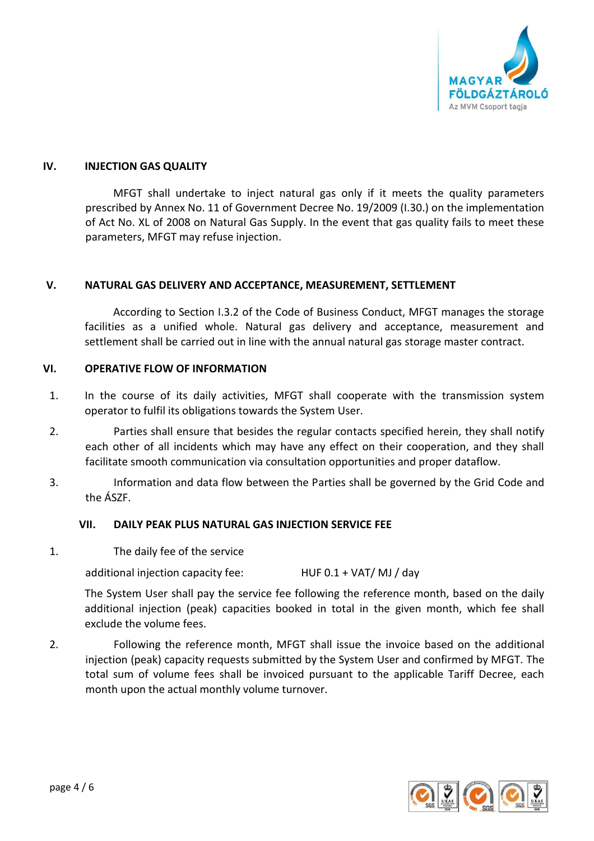

## **IV. INJECTION GAS QUALITY**

MFGT shall undertake to inject natural gas only if it meets the quality parameters prescribed by Annex No. 11 of Government Decree No. 19/2009 (I.30.) on the implementation of Act No. XL of 2008 on Natural Gas Supply. In the event that gas quality fails to meet these parameters, MFGT may refuse injection.

### **V. NATURAL GAS DELIVERY AND ACCEPTANCE, MEASUREMENT, SETTLEMENT**

According to Section I.3.2 of the Code of Business Conduct, MFGT manages the storage facilities as a unified whole. Natural gas delivery and acceptance, measurement and settlement shall be carried out in line with the annual natural gas storage master contract.

## **VI. OPERATIVE FLOW OF INFORMATION**

- 1. In the course of its daily activities, MFGT shall cooperate with the transmission system operator to fulfil its obligations towards the System User.
- 2. Parties shall ensure that besides the regular contacts specified herein, they shall notify each other of all incidents which may have any effect on their cooperation, and they shall facilitate smooth communication via consultation opportunities and proper dataflow.
- 3. Information and data flow between the Parties shall be governed by the Grid Code and the ÁSZF.

#### **VII. DAILY PEAK PLUS NATURAL GAS INJECTION SERVICE FEE**

1. The daily fee of the service

additional injection capacity fee: HUF 0.1 + VAT/ MJ / day

The System User shall pay the service fee following the reference month, based on the daily additional injection (peak) capacities booked in total in the given month, which fee shall exclude the volume fees.

2. Following the reference month, MFGT shall issue the invoice based on the additional injection (peak) capacity requests submitted by the System User and confirmed by MFGT. The total sum of volume fees shall be invoiced pursuant to the applicable Tariff Decree, each month upon the actual monthly volume turnover.

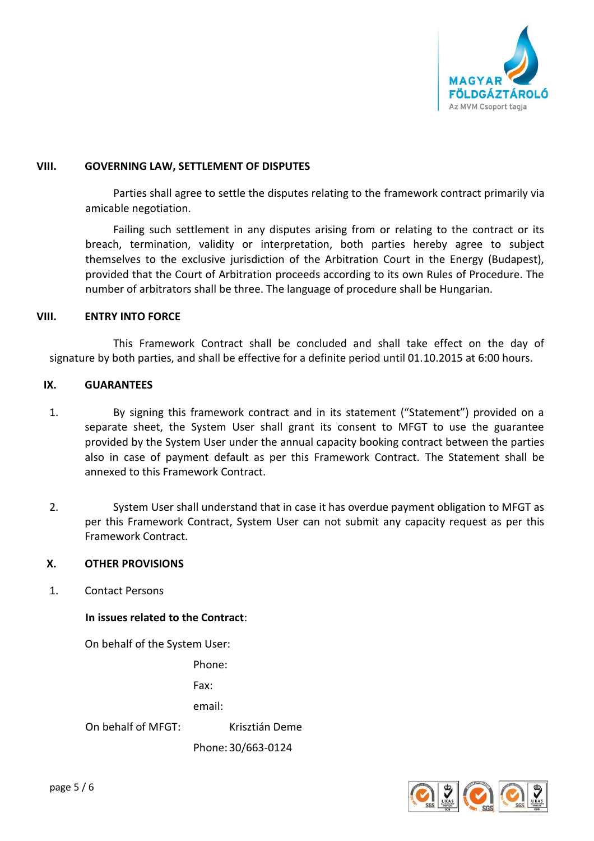

### **VIII. GOVERNING LAW, SETTLEMENT OF DISPUTES**

Parties shall agree to settle the disputes relating to the framework contract primarily via amicable negotiation.

Failing such settlement in any disputes arising from or relating to the contract or its breach, termination, validity or interpretation, both parties hereby agree to subject themselves to the exclusive jurisdiction of the Arbitration Court in the Energy (Budapest), provided that the Court of Arbitration proceeds according to its own Rules of Procedure. The number of arbitrators shall be three. The language of procedure shall be Hungarian.

### **VIII. ENTRY INTO FORCE**

This Framework Contract shall be concluded and shall take effect on the day of signature by both parties, and shall be effective for a definite period until 01.10.2015 at 6:00 hours.

### **IX. GUARANTEES**

- 1. By signing this framework contract and in its statement ("Statement") provided on a separate sheet, the System User shall grant its consent to MFGT to use the guarantee provided by the System User under the annual capacity booking contract between the parties also in case of payment default as per this Framework Contract. The Statement shall be annexed to this Framework Contract.
- 2. System User shall understand that in case it has overdue payment obligation to MFGT as per this Framework Contract, System User can not submit any capacity request as per this Framework Contract.

# **X. OTHER PROVISIONS**

1. Contact Persons

# **In issues related to the Contract**:

On behalf of the System User:

Phone:

Fax:

email:

On behalf of MFGT: Krisztián Deme

Phone: 30/663-0124